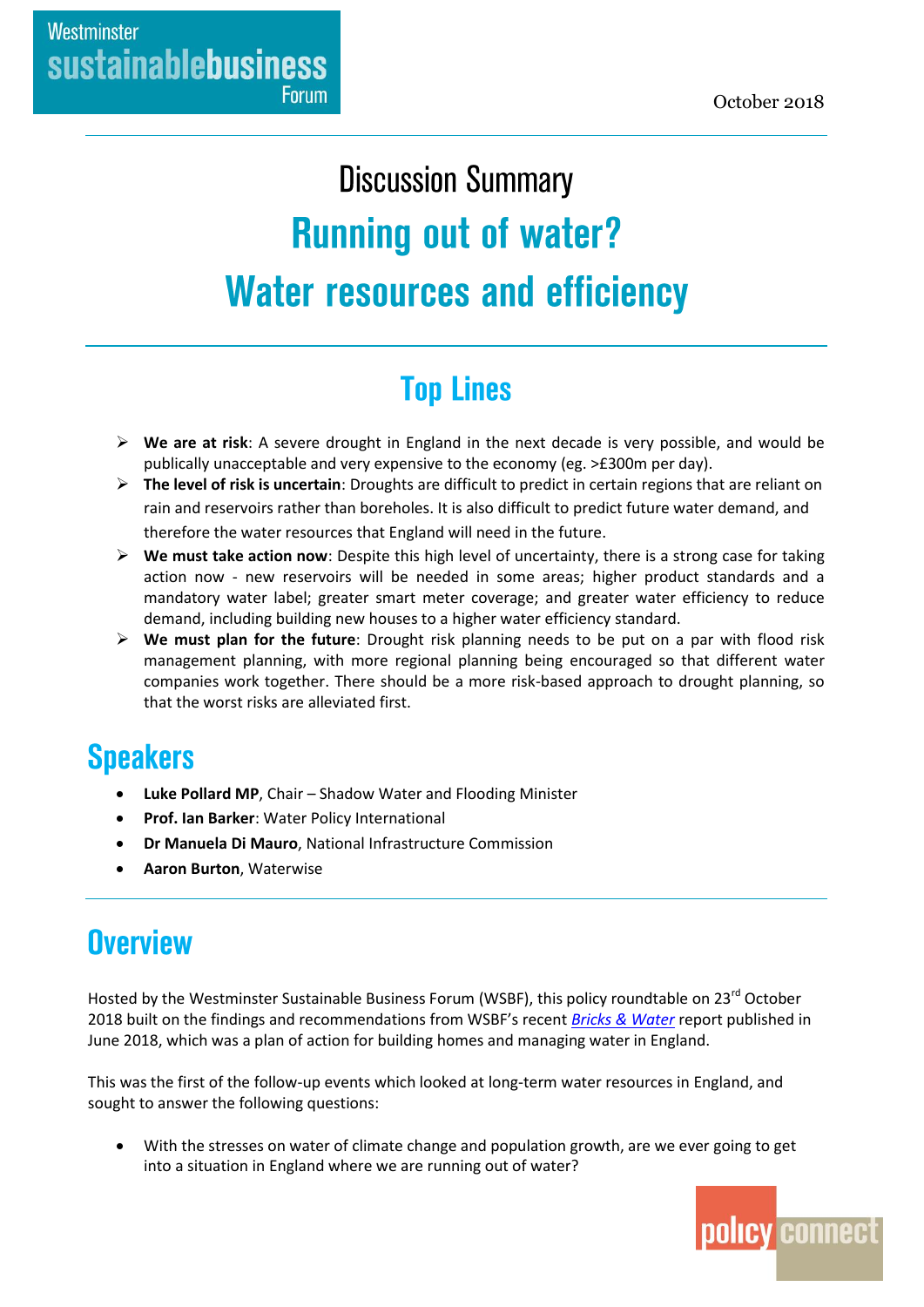# **Discussion Summary Running out of water? Water resources and efficiency**

# **Top Lines**

- **We are at risk**: A severe drought in England in the next decade is very possible, and would be publically unacceptable and very expensive to the economy (eg. >£300m per day).
- **The level of risk is uncertain**: Droughts are difficult to predict in certain regions that are reliant on rain and reservoirs rather than boreholes. It is also difficult to predict future water demand, and therefore the water resources that England will need in the future.
- **We must take action now**: Despite this high level of uncertainty, there is a strong case for taking action now - new reservoirs will be needed in some areas; higher product standards and a mandatory water label; greater smart meter coverage; and greater water efficiency to reduce demand, including building new houses to a higher water efficiency standard.
- **We must plan for the future**: Drought risk planning needs to be put on a par with flood risk management planning, with more regional planning being encouraged so that different water companies work together. There should be a more risk-based approach to drought planning, so that the worst risks are alleviated first.

### **Speakers**

- **Luke Pollard MP**, Chair Shadow Water and Flooding Minister
- **Prof. Ian Barker**: Water Policy International
- **Dr Manuela Di Mauro**, National Infrastructure Commission
- **Aaron Burton**, Waterwise

### **Overview**

Hosted by the Westminster Sustainable Business Forum (WSBF), this policy roundtable on 23<sup>rd</sup> October 2018 built on the findings and recommendations from WSBF's recent *[Bricks & Water](https://www.policyconnect.org.uk/research/bricks-water-plan-action-building-homes-and-managing-water-england)* report published in June 2018, which was a plan of action for building homes and managing water in England.

This was the first of the follow-up events which looked at long-term water resources in England, and sought to answer the following questions:

 With the stresses on water of climate change and population growth, are we ever going to get into a situation in England where we are running out of water?

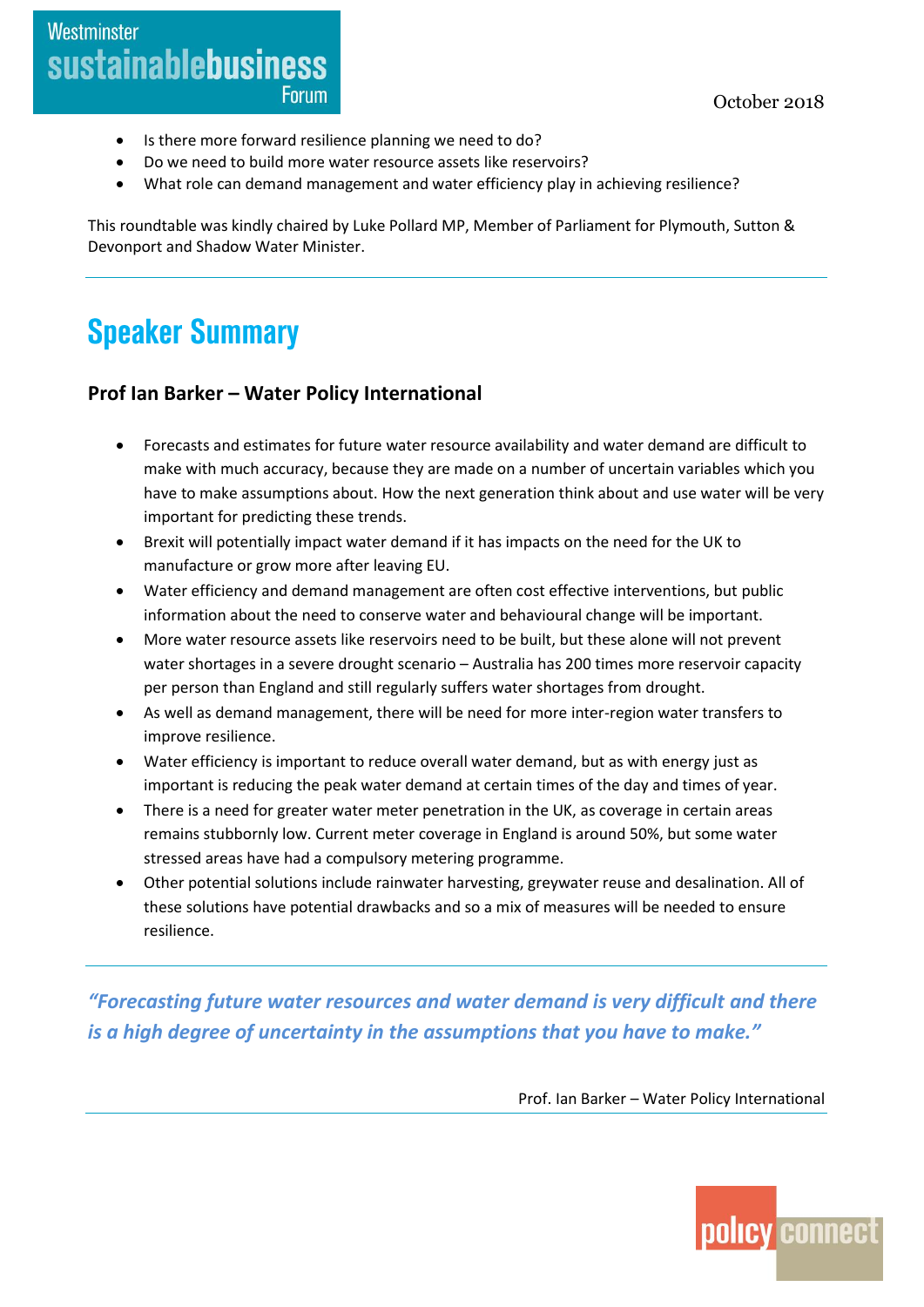- Is there more forward resilience planning we need to do?
- Do we need to build more water resource assets like reservoirs?
- What role can demand management and water efficiency play in achieving resilience?

This roundtable was kindly chaired by Luke Pollard MP, Member of Parliament for Plymouth, Sutton & Devonport and Shadow Water Minister.

## **Speaker Summary**

#### **Prof Ian Barker – Water Policy International**

- Forecasts and estimates for future water resource availability and water demand are difficult to make with much accuracy, because they are made on a number of uncertain variables which you have to make assumptions about. How the next generation think about and use water will be very important for predicting these trends.
- Brexit will potentially impact water demand if it has impacts on the need for the UK to manufacture or grow more after leaving EU.
- Water efficiency and demand management are often cost effective interventions, but public information about the need to conserve water and behavioural change will be important.
- More water resource assets like reservoirs need to be built, but these alone will not prevent water shortages in a severe drought scenario – Australia has 200 times more reservoir capacity per person than England and still regularly suffers water shortages from drought.
- As well as demand management, there will be need for more inter-region water transfers to improve resilience.
- Water efficiency is important to reduce overall water demand, but as with energy just as important is reducing the peak water demand at certain times of the day and times of year.
- There is a need for greater water meter penetration in the UK, as coverage in certain areas remains stubbornly low. Current meter coverage in England is around 50%, but some water stressed areas have had a compulsory metering programme.
- Other potential solutions include rainwater harvesting, greywater reuse and desalination. All of these solutions have potential drawbacks and so a mix of measures will be needed to ensure resilience.

*"Forecasting future water resources and water demand is very difficult and there is a high degree of uncertainty in the assumptions that you have to make."*

Prof. Ian Barker – Water Policy International

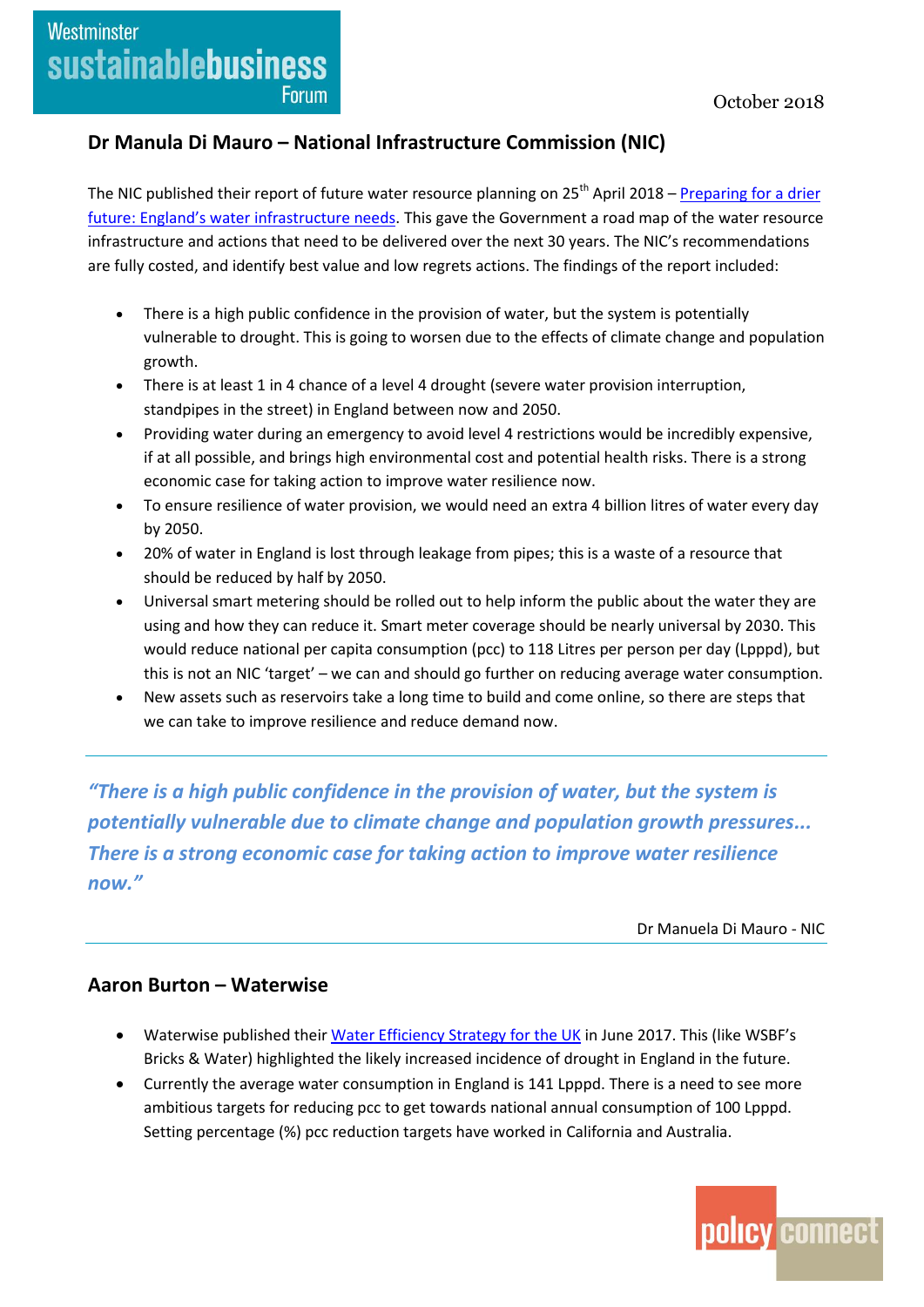### Westminster **sustainablebusiness Forum**

#### **Dr Manula Di Mauro – National Infrastructure Commission (NIC)**

The NIC published their report of future water resource planning on  $25<sup>th</sup>$  April 2018 – Preparing for a drier [future: England's water infrastructure needs](https://www.nic.org.uk/publications/preparing-for-a-drier-future-englands-water-infrastructure-needs/). This gave the Government a road map of the water resource infrastructure and actions that need to be delivered over the next 30 years. The NIC's recommendations are fully costed, and identify best value and low regrets actions. The findings of the report included:

- There is a high public confidence in the provision of water, but the system is potentially vulnerable to drought. This is going to worsen due to the effects of climate change and population growth.
- There is at least 1 in 4 chance of a level 4 drought (severe water provision interruption, standpipes in the street) in England between now and 2050.
- Providing water during an emergency to avoid level 4 restrictions would be incredibly expensive, if at all possible, and brings high environmental cost and potential health risks. There is a strong economic case for taking action to improve water resilience now.
- To ensure resilience of water provision, we would need an extra 4 billion litres of water every day by 2050.
- 20% of water in England is lost through leakage from pipes; this is a waste of a resource that should be reduced by half by 2050.
- Universal smart metering should be rolled out to help inform the public about the water they are using and how they can reduce it. Smart meter coverage should be nearly universal by 2030. This would reduce national per capita consumption (pcc) to 118 Litres per person per day (Lpppd), but this is not an NIC 'target' – we can and should go further on reducing average water consumption.
- New assets such as reservoirs take a long time to build and come online, so there are steps that we can take to improve resilience and reduce demand now.

*"There is a high public confidence in the provision of water, but the system is potentially vulnerable due to climate change and population growth pressures... There is a strong economic case for taking action to improve water resilience now."*

Dr Manuela Di Mauro - NIC

#### **Aaron Burton – Waterwise**

- Waterwise published thei[r Water Efficiency Strategy for the UK](https://www.waterwise.org.uk/resource/water-efficiency-strategy-for-the-uk-2017/) in June 2017. This (like WSBF's Bricks & Water) highlighted the likely increased incidence of drought in England in the future.
- Currently the average water consumption in England is 141 Lpppd. There is a need to see more ambitious targets for reducing pcc to get towards national annual consumption of 100 Lpppd. Setting percentage (%) pcc reduction targets have worked in California and Australia.

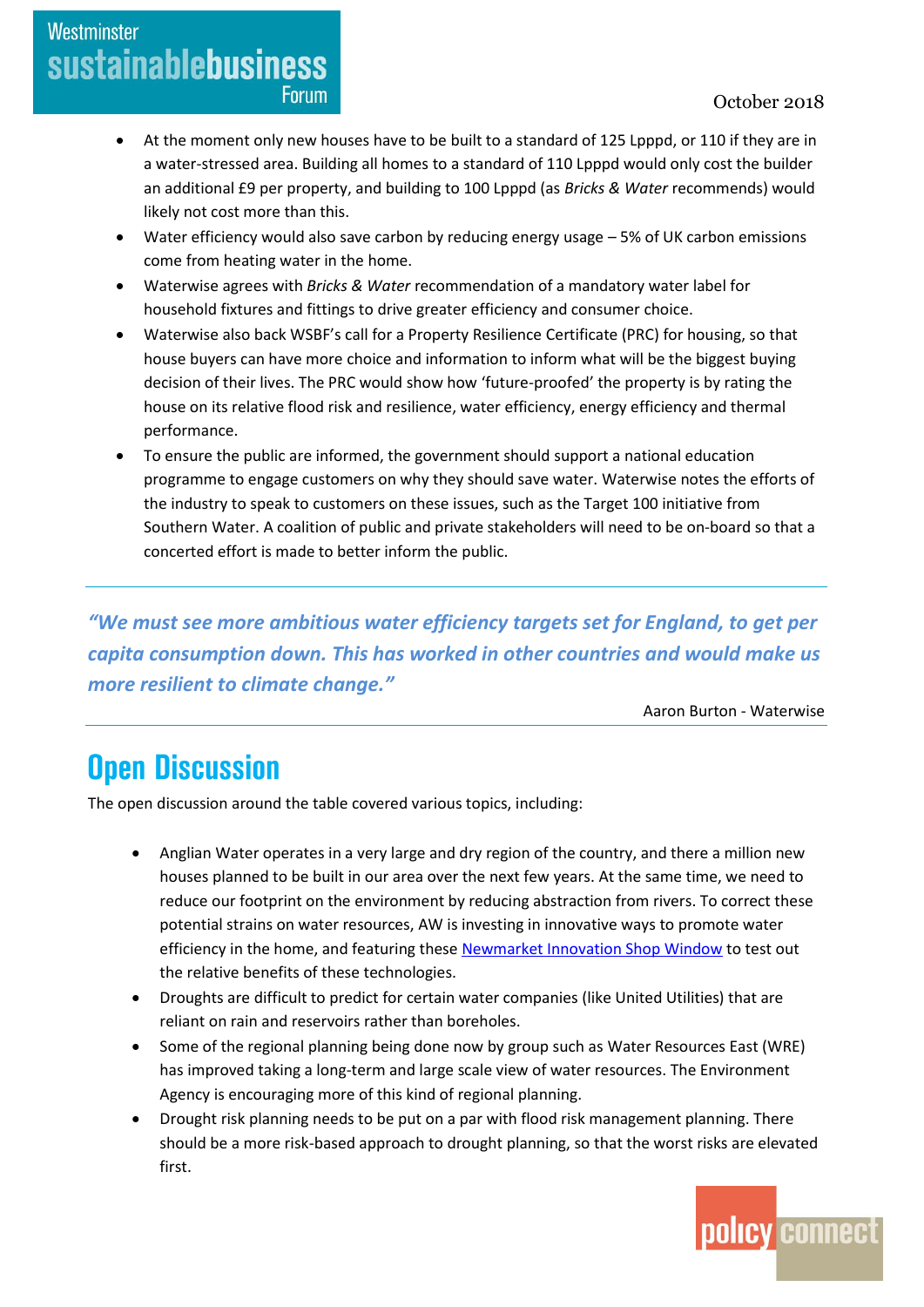#### October 2018

- At the moment only new houses have to be built to a standard of 125 Lpppd, or 110 if they are in a water-stressed area. Building all homes to a standard of 110 Lpppd would only cost the builder an additional £9 per property, and building to 100 Lpppd (as *Bricks & Water* recommends) would likely not cost more than this.
- Water efficiency would also save carbon by reducing energy usage 5% of UK carbon emissions come from heating water in the home.
- Waterwise agrees with *Bricks & Water* recommendation of a mandatory water label for household fixtures and fittings to drive greater efficiency and consumer choice.
- Waterwise also back WSBF's call for a Property Resilience Certificate (PRC) for housing, so that house buyers can have more choice and information to inform what will be the biggest buying decision of their lives. The PRC would show how 'future-proofed' the property is by rating the house on its relative flood risk and resilience, water efficiency, energy efficiency and thermal performance.
- To ensure the public are informed, the government should support a national education programme to engage customers on why they should save water. Waterwise notes the efforts of the industry to speak to customers on these issues, such as the Target 100 initiative from Southern Water. A coalition of public and private stakeholders will need to be on-board so that a concerted effort is made to better inform the public.

*"We must see more ambitious water efficiency targets set for England, to get per capita consumption down. This has worked in other countries and would make us more resilient to climate change."*

Aaron Burton - Waterwise

### **Open Discussion**

Westminster

**sustainablebusiness** 

**Forum** 

The open discussion around the table covered various topics, including:

- Anglian Water operates in a very large and dry region of the country, and there a million new houses planned to be built in our area over the next few years. At the same time, we need to reduce our footprint on the environment by reducing abstraction from rivers. To correct these potential strains on water resources, AW is investing in innovative ways to promote water efficiency in the home, and featuring thes[e Newmarket Innovation Shop Window](https://www.anglianwater.co.uk/about-us/shop-window.aspx) to test out the relative benefits of these technologies.
- Droughts are difficult to predict for certain water companies (like United Utilities) that are reliant on rain and reservoirs rather than boreholes.
- Some of the regional planning being done now by group such as Water Resources East (WRE) has improved taking a long-term and large scale view of water resources. The Environment Agency is encouraging more of this kind of regional planning.
- Drought risk planning needs to be put on a par with flood risk management planning. There should be a more risk-based approach to drought planning, so that the worst risks are elevated first.